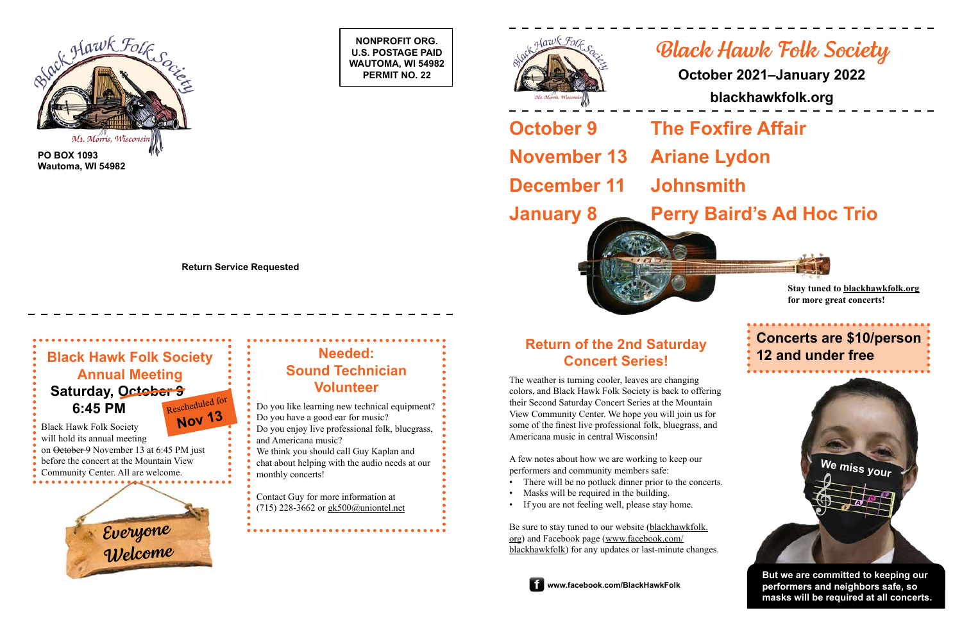**NONPROFIT ORG. U.S. POSTAGE PAID WAUTOMA, WI 54982 PERMIT NO. 22**







**PO BOX 1093 Wautoma, WI 54982**

**Return Service Requested**

# *Black Hawk Folk Society*

## **October 2021–January 2022**

**blackhawkfolk.org**

## **January 8 Perry Baird's Ad Hoc Trio**

## **12 and under free Return of the 2nd Saturday 12 and under free Concert Series!**

**October 9 The Foxfire Affair November 13 Ariane Lydon December 11 Johnsmith**

The weather is turning cooler, leaves are changing colors, and Black Hawk Folk Society is back to offering their Second Saturday Concert Series at the Mountain View Community Center. We hope you will join us for some of the finest live professional folk, bluegrass, and Americana music in central Wisconsin!

A few notes about how we are working to keep our performers and community members safe:

- There will be no potluck dinner prior to the concerts.
- Masks will be required in the building.
- If you are not feeling well, please stay home.



Be sure to stay tuned to our website ([blackhawkfolk.](https://blackhawkfolk.org) [org\)](https://blackhawkfolk.org) and Facebook page [\(www.facebook.com/](http://www.facebook.com/BlackHawkFolk) [blackhawkfolk](http://www.facebook.com/BlackHawkFolk)) for any updates or last-minute changes.



Black Hawk Folk Society will hold its annual meeting on October 9 November 13 at 6:45 PM just before the concert at the Mountain View

> **But we are committed to keeping our performers and neighbors safe, so masks will be required at all concerts.**

## **Needed: Sound Technician Volunteer**

## **Black Hawk Folk Society Annual Meeting Saturday, October 9 6:45 PM** Rescheduled for **Nov 1<sup>3</sup>**

Do you like learning new technical equipment? Do you have a good ear for music?

Do you enjoy live professional folk, bluegrass,

and Americana music?

We think you should call Guy Kaplan and chat about helping with the audio needs at our

monthly concerts!

Contact Guy for more information at (715) 228-3662 or [gk500@uniontel.net](mailto:gk500%40uniontel.net?subject=)